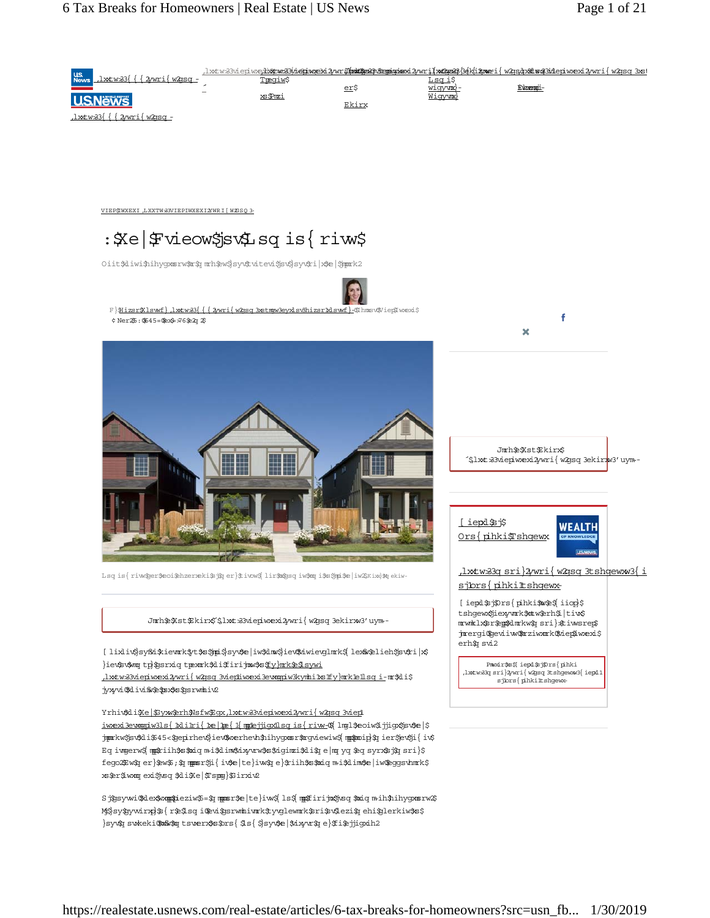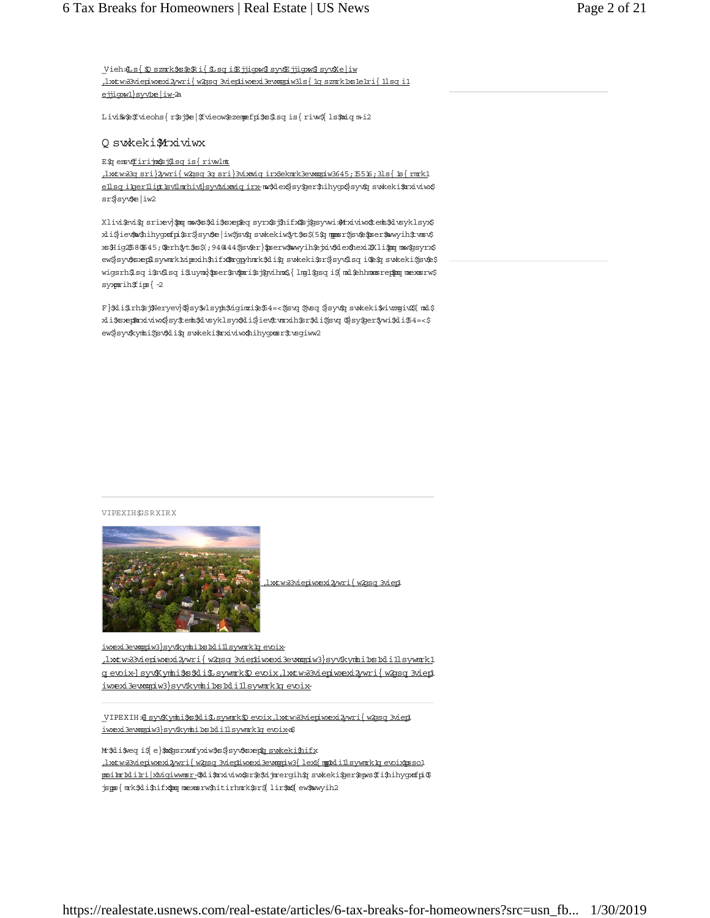<u>Vieh \$1 s {\$0 szmrk\$s\$\$Ri{\$1 sqi\$Fjiqxw\$ syv\$Ejiqxw\$ syv\$Ke|iw</u> httw 33 viepiw exi2 yw rif w 29sq 3 viepliw exi3e wagpiw 31s { 1q sznrk 1xs1e1ri { 11sq i1 ejjiqxw1}syv1xe|iw-2a

Livins a free of the state of the breaks and the home of the home is how it how to home to home it.

#### Q sv:keki\$1rxiviwx

E\$q enst<u>£firijno\$sj\$lsq is{riwlnt</u>

httw 33g sri}2/wri{w 2qsq 3g sri}3vixmiq irx3ekmrk3ewangiw 3645; 15516; 31s{ 1s{ rmrk1 ellsq ilgerllipt. Evilmrhivl}syvivixmiq irx-mo%dex\$ sy%ger\$nihyox\$ sy<br/>%g swkeki\$mxiviw sr\$sy¢e|iw2

Xlivi\$vi\$q srixev}\$poq now\$s\$kli\$sxep\$eq syrx\$sj\$hifx\$\$j\$gsywi\$Arxiviwx\$tenb\$dvsyklsyx\$ xli\$iev\$nxYnihygxmfpi\$r\$}syv\$e|iw\$jsv\$q swkekiw\$yt\$s\$(5\$q mppsr\$jsv\$e\$pser\$nawyih\$tvnsv\$ xs\$Hig\$b8\\$45; \$crh\$yt\$s\$(;94@44\$jsv\$er}\$pserw\$wwyih\$ejxiv\$dex\$1exi2\$Xli\$poqmaw\$gsyrx\$ ew\$syv\$sxep\$sywmrk1xipexih\$nifx\$\$mogyhmrk\$di\$q swkeki\$sr\$syv\$sq i\$e\$q swkeki\$jsv\$e\$ wigsrh\$sq i\$v\$sq i\$uynx}\$pser\$v\$pori\$sj\$yvihnx\${ lng1\$psq i\${ nxl\$ehhnxnsrep\$poq nxexnsrw\$  $syxprihfips{-2}$ 

F}\$di\$rh\$j\$Neryev}\$}sy\$vlsyph\$ziginzi\$e\$4=<\$jsvq \$jvsq \$}syv\$q svakeki\$vivzngiv&[nnd\$ xli\$sxep\$mxiviwx\$sy\$temb\$lvsyklsyx\$kli\$jiev\$tvmxih\$sr\$kli\$jsvq 0\$sy\$jer\$wi\$kli\$4=<\$ ew\$syv\$kynhi\$jsv\$di\$q swkeki\$mxiviwx\$hihygxmsr\$tvsgiww2

VIPEXIHSSRXIRX



(watws://www.aktwate.usp

iwexi3ewompiw3}syv1kynhi1xs1xli1lsywnnk1gevoix- $\lim_{\Delta x\to\infty}$  ,  $\lim_{\Delta y\to\infty}$  /  $\lim_{\Delta y\to\infty}$  /real-estate  $\lim_{\Delta y\to\infty}$  /real-estate-instance in  $\lim_{\Delta y\to\infty}$ g evoix-]syv\$Kymhi\$s\$di\$Lsywmrk\$D evoix,lxxtw&3viepiwxexi2/wri{w2qsq 3viep1 iwexi3evangiw3}syv1kynhi1xs1xli1lsywnrk1qevoix-

[RELATED: YOUR SYSTEM: YOUR ARRET MEXING THE HOUSE STATE OF A STATE MARKET WAS A STATE.USD. VIEW JULIES <u>iwexi3ewogpiw3}syv1kynhi1xs1xli1lsywnrk1qevoix</u>=\$

Mr\$di\$weq i\$ e}\$m\$psrxmfyxiw\$s\$}syv\$sxep\$q swkeki\$hifx (https://realestate.usnew s.com /real-estate/articles/w hat-w ill-the-housing-m arket-lookpoilm-biliki-interest-celi mext-deduction on a refinition of the interest on a refinition of the interest on a jspos { mrk\$di\$hifx\$poq mexosrw\$hitirhmrk\$sr\${ lir\$nx\${ ew\$nwyih2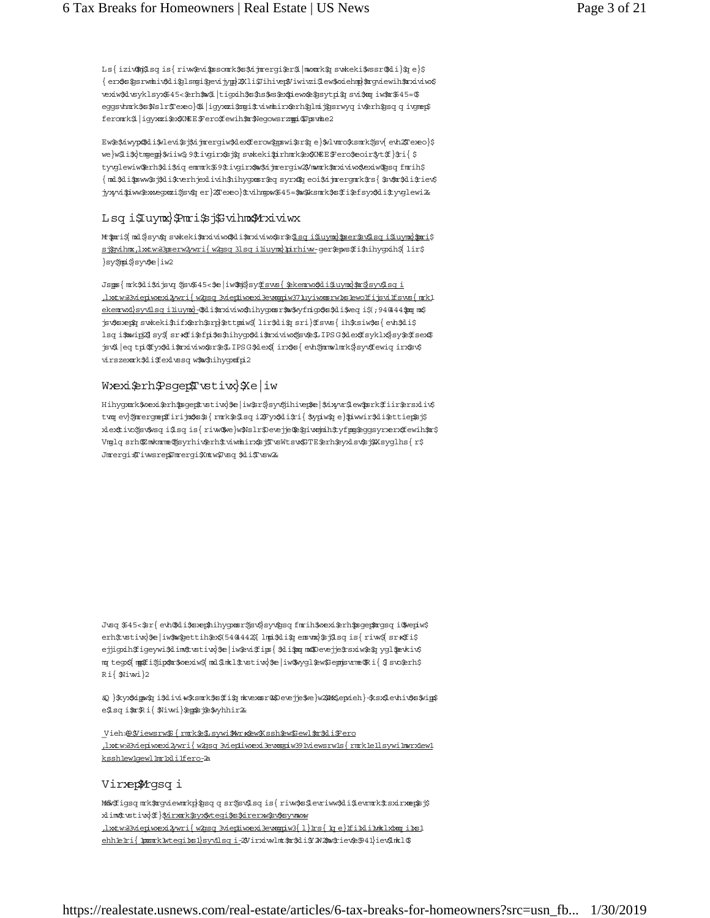Ls{ iziv\$nj\$sq is{ riw\$pvi\$psonck\$s\$vijncergi\$er\$ |mwnck\$q swkeki\$wssr\$Ai}\$q e}\$ { erx\$s\$psrwmhiv\$di\$plsmgi\$pevijype}2Xli\$Jihivep\$/iwivzi\$lew\$wiehme}\$rcyviewih\$rrxiviwx\$ rexiw\$dvsyklsyx\$45<\$crh\$w\$ltigxih\$s\$ns\$vs\$ex\$iewx\$e\$gsytpi\$q svi\$mq iw\$m\$45=\$ eggsvhnrk\$s\$Nslr\$Texeo}\$1|igyxnzi\$zngi\$tviwnhirx\$erh\$glnij\$gsrwyq iv\$erh\$gsq q ivgnep\$ feromk\$ igyxmi\$x\$XMEE\$Pero Eewih\$m\$Negowsrzmpi\$Upswhe2

Ew\$\$iwyp\$\$di\$vlevi\$j\$ijmergiw\$dexferow\$gswi\$r\$je}\$vlvmo\$ksmk\$jsv{evh2Fexeo}\$ we}w\$1\$\$}tmgep}\$viiw\$9\$tivgirx\$5j\$q swkeki\$urhmrk\$ex\$MEE\$Fero\$eoir\$yt\$f}\$ri{\$ tyglewiw@erh\$di\$dqemmk\$9\$tigirx\$w\$djmergiw2\$7mmk\$mxiviws\$exiw@ssqfmrih\$ {md\$di\$sww\$sj\$di\$kverhjexlivih\$hihygxmsr\$eq syrx1\$q eoi\$djmrergmrk\$rs{\$sv\$m\$di\$riev\$ jyxyvi\$iww\$exxegxozi\$jsv\$q er}2Texeo}\$tvihngxw\$45=\$w\$ksnrk\$s\$fi\$efsyx\$li\$tyvglewi&

## Lsq i\$luymx}\$Pmri\$sj\$Svihmx\$Mrxiviwx

M \$ports, mal \$ sy v\$q sw k e k i\$portiviv w 1\$4 i\$portive interest a home interest of the interest of the interest on the interest of the interest of the interest of the interest of the interest of the interest of the int <u>sjårvihnx,lxxtw33pserw 2wri{w 2gsq 31 sq i liuynx}pirhiw-ger\$epws\$fi\$hihygxih\$</u> lir\$ }sy\$**jpi**\$}syv\$e|iw2

Jspos { mrk\$di\$djsvq \$jsv\$45<\$e|iw\$hj\$|sy\$<u>Esws { \$ekemtwx\$di\$luymx}\$m\$|syv\$lsq i</u>  $\frac{1}{\text{wtw}}$ 33viepiwexi2ywri{w2ggg 3viephwexi3ewagdw371uyiwxs:rw bs lewolf i gvilf sws{mkl ekennwalsyvilso; iliu ynal-OSali\$maviw&hih yo ans fow \$vy frion \$854.i\$ vect is ; 940444 \$100; m.\$7 for total m or to hand m or to the more depth and the m order is positional to m one only the m one of the m o hog it winds sy a sratite for the hom who it was the interest for the interest for a help in that in the interest  $\alpha$ jsvá | eq tpi Ofyxákl i \$ma viw Asr\$4. IPS G\$d exá{ i rx\$s { evh\$mmw lmrk\$| syváf ew i q i rx\$sv\$ virszexmk\$di\$fexlussq w\$w\$hihygxmfpi2

## Wexi\$ch\$Psqep\$Twstiw}\$<br/>e|iw

Hihygamk\$wexi\$enh\$msqep\$tustiw}\$e|iw\$er\$}syv\$jihivep\$e|\$dxyvr\$lew\$msrk\$fiir\$ersxliv\$ prim ary financial benefit to own ary financial benefit to own and the new results in the appeal of the appeal of the appeal of the appeal of the appeal of the appeal of the appeal of the appeal of the appeal of the appeal xlext ivo Ssv\$wsq i\$lsq is{ riww\$we}w\$Nslr\$Devejje\$e\$giv&mjmih\$tyfmog\$eggsyrxerx\$fewih\$mt\$ Vmglq srh@mkm me@syrhiv@erh\$tviwmhirx\$sj\TwsWtsw\$TE@erh\$yxlsv\$sj\$Xsyglhs{r\$ Jmergi Tiwsrepmergi Xmtw Tusq \$liTusw 26

Jvsq \$45<\$r{evhQkli\$sæp\$hihygxmsr\$jsv\$jsyv&jsq fmrih\$væxi\$rh\$sgep\$mgsq iQkvepiw\$ erh\$tstiw}\$e|iw\$w\$pettih\$ex\$(5404442\$[lmpi\$di\$penstma}\$sj\$lsqis{riw\$|sr\*\$fi\$ ejjigxih \$ igeywi\$d im \$ vstivx}\$e | iw \$ vi\$ ips { \$ di\$pq m\$ Deve je\$ sxiw \$ \$q y g l \$ evkiv\$ my tegx\${ mp\$fi\$jip\$nr\$wexiw\${ mxl\$inkl\$tstiw}\$e|iw\$wygl\$ew\$Sepnjswme\$Ri{\$} svo\$erh\$ Ri{ Niwi}2

"M }\$xyx\$dppx\$q i\$d ivi+w\$ksmrk\$s\$fi\$q mixexmsr@\$Devejje\$we}w2\$PM\$epxieh}-\$ksx\$levhiv\$s\$wip\$ e\$lsqi\$m\$Ri{\$Niwi}\$ep\$sj\$\$wyhhir2&

Vieh\$Diewsrw\${rmk\$\$sywi\$Wr\*&wXssh \$w\$Sewl\$m\$differo  $\frac{1}{\text{wtw33viepiwexi2wri} \{ \text{w2gsq 3viepiiwexi3ewagniw391viewsrw1s} \} \text{rmklellsywilmrxiew1}}$ ksshlewlgewllmrlxlilfero-2a

## Virxep\$Mrgsqi

Munitigsq m ktm gview m kp}ts q q sr tjsv\$lsq is { riw\$s\$levriww\$di\$levrm k\$t sxirxmep\$tj\$ xlim#tustivx} f } \$<u>nirxmk\$syx\$vteqi\$s\$xirerxw\$sv\$sy</u>vmaxw httws3vieniwexi2wri{w2qsq3vieniwexi3ewanpiw3{1}1rs{1qe}ffilxlilunklxbangi1xs1 ehheri{ pomkwteginslsyvlsq i-2Virxiwlmt\$r\$li\$ W2\$w\$rie<\$941}ie<1\$0.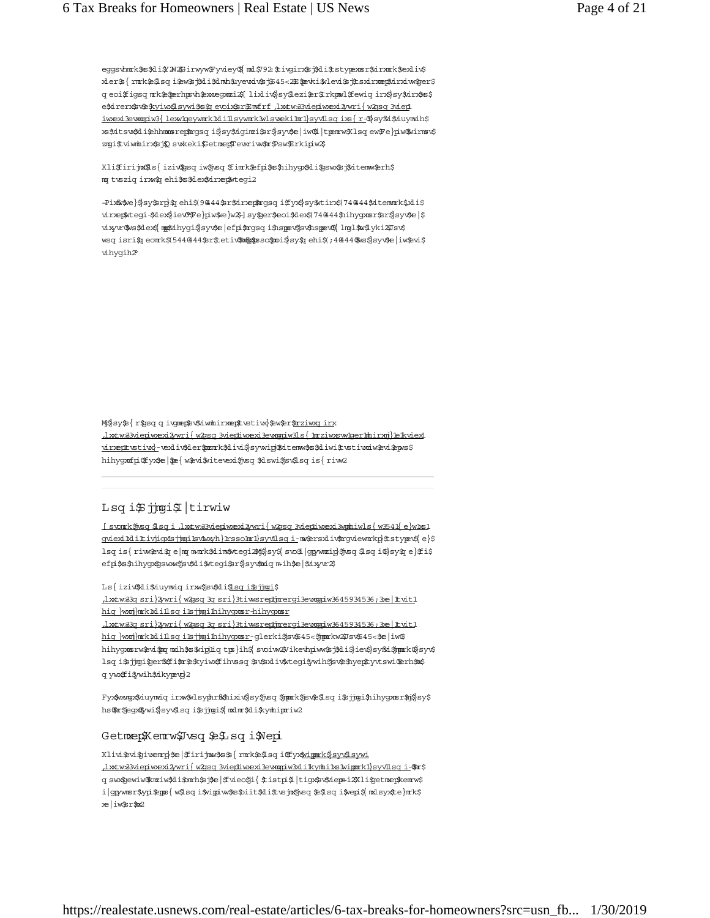eggsvhnrk\$s\$li\$ZWZ\$irwyw\$yviey\${md\$792.\$tivgirx\$sj\$li\$tstypexmsr\$irxnrk\$exliv\$ xler\${rmrk\$\$sqi\$w\$j\$li\$dmh\$uyewiv\$j\$45<20\$peki\$vlevi\$j\$sxirxnep\$irxiw\$ger\$ q eoifigsq m k \$ \$ prh ps th \$ x ke g a like ind sy \$ ezi\$r \$ r kpm l f ewiq in x sy \$ in x s \$ e\$drerx\$v\$\$<u>xyiw\$Lsywi\$s\$qevoix\$r\$Ennfrf,lxtw33viepiwexi2wri{w2psq3viep</u> iw exi3ew mgiw 3{ lew Moeywm k holilsywm k hols vekinn lsyvilsq ixs { r-\$} sy fki\$duywdh\$ xs\$itsv\$li\$chhmmsrep\$mogsqi\$sy\$igimzi\$sr\$syv\$e|iw\$i|tpemrw\$lsqew\$re}piw\$wirmsv\$ zmqi\$tviwmhirx\$sj\$Q svakeki\$Setmep\$Tevariw#pr\$sw\$Erkipiw2\$

Xli\$irijm\$1s{ iziv\$psq iw\$jvsq \$fimk\$efpi\$s\$hihygx\$1i\$psw\$sj\$zitemw\$erh\$ m twsziq irws ehis sklestirzentegi2

-Pix&\$we}\$}sy\$srg}\$q ehi\$(9@44\$sr\$drxep\$mgsq i\$fyx\$}sy\$wtirx\$(74@44\$dtemmark\$xli\$ viræntal space) tempel (an taxel variate taxes says. "Bayles" deduction on the taxe that the straight on your t vixyvrükvs\$dex\${ mp\$tihygi\$}syv\$e | efpi\$ngsq i\$nsperv\$jsv\$nsperv\${ lmgl\$w\$lyki2\$Jsv\$ ssom isrišų eonrk \$1544,444 struktus like paper, iš systybe in paper, italiais areas ir paper, italiais areas a vihygih2

Misy\${ r\$psq q ivgnep\$v\$dwn hirxnep\$tvstiw}\$ew\$er\$<u>mziwxq inx</u> httws://www.al-eduxexide.uspecies-com //real-estate/articles/how -investors-can-identify-a-great-can-identifyvirentustiva)-vexlivaler promkalivis sywipjatitem wasaliwit woti wowa tepss hihygxufpiQfyx\$e|\$e{w\$vitevexi\$jvsq\$dswi\$jsv\$lsqis{riw2

# Lsq i\$ jigi\$ tirwiw

<u>[svom k \$psq i ,lxtw & 3 vieniw exi2 wri{w 2qsq 3 vientiw exi3 wom iw ls {w 3541 {e}w 1x51</u> created-the-perfect-office-or-study-or-study-or-study-or-study-or-study-or-study-or-study-or-study-or-study-orhom is are moved the m and the masked interest and the space. If you we can also the property of the list efpi\$s\$nihygx\$gsww\$jsv\$di\$vtegi\$r\$}syv\$miq mih\$e|\$nixyvr2\$

Ls{ iziv\$Ali\$niuymniq irxw\$jsv\$Ali<u>\$Lsq i\$sjjmgi</u>\$

httw 33g sri}2/wri{w 2qsq 3g sri}3tiwsreptimergi3ew mpiw 3645934536;3xe | It vit1 hiq }wxnj}nck1xli1lsq i1sjjngi1hihygxnsr-hihygxnsr

httw 33q sri}2w ri{ w 2qsq 3q sri}3tiwsregineergi3ew qqiw 3645934536; 3xe | Ituit1 hiq }wxnj}nrk1xlillsqi1s<del>jjng</del>i1hihygxnsr-glerki\$jsv\$45<\$jmprkw2\$Jsv\$45<\$ve|iw\$ hihygxosrw\$wi\$pqmxih\$s\$wigliqtps}ih\${svoiw2Wikevhpiww\$sj\$di\$jev\$syfsi\$jpprk\$}syv\$ hog i\$ jjmgi\$ erf\$fi\$r\$\$yiw\$fihvssq \$v\$xliv\$vtegi\$wih\$ jsv\$\$hyep\$tyvtswi\$erh\$p\$ q yw: fi i ywih \$zikypevp}2

Fyx\$wxngx\$duynwiq irxw\$vlsypbrf\$\$hixiv\$}sy\$jvsq \$jpprk\$jsv\$\$lsq i\$sjjngi\$hihygxnsr\$nj\$}sy\$ hs@mr\$jegxo\$ywi\$|syvQlsqi\$sjjmgi\$| mxlmr\$xli\$kymhipmriw2

#### GetmepKemrw\$Jwsq\$e\$Lisqi\$Wepi

Xlivi\$vi\$pivenrp}\$e|\$firijnw\$s\$\${rnrk\$e\$lsqi@fyx<u>\$wingark\$}syv\$lsywi</u> <u>, lxtw33viepiwexi2/wri{w2gsq=3viephiwexi3ewapiw3xli1kynhi1xs1wippork1}syv1lsq=i</u>-\$pr\$ q swxgewiw\$kmziw\$di\$omrh\$sj\$e|\$fvieo\$ji{\$tistpi\$|tigx\$sv\$nepai2\$Xli\$getmep\$kemrw\$ ilggwmsr\$ypi\$eps{w\$lsqi\$vippiw\$s\$biit\$li\$twsjn&jwsq\$e\$lsqi\$wepi\${mxlsyx\$te}mrk\$ xe | iw\$r\$m2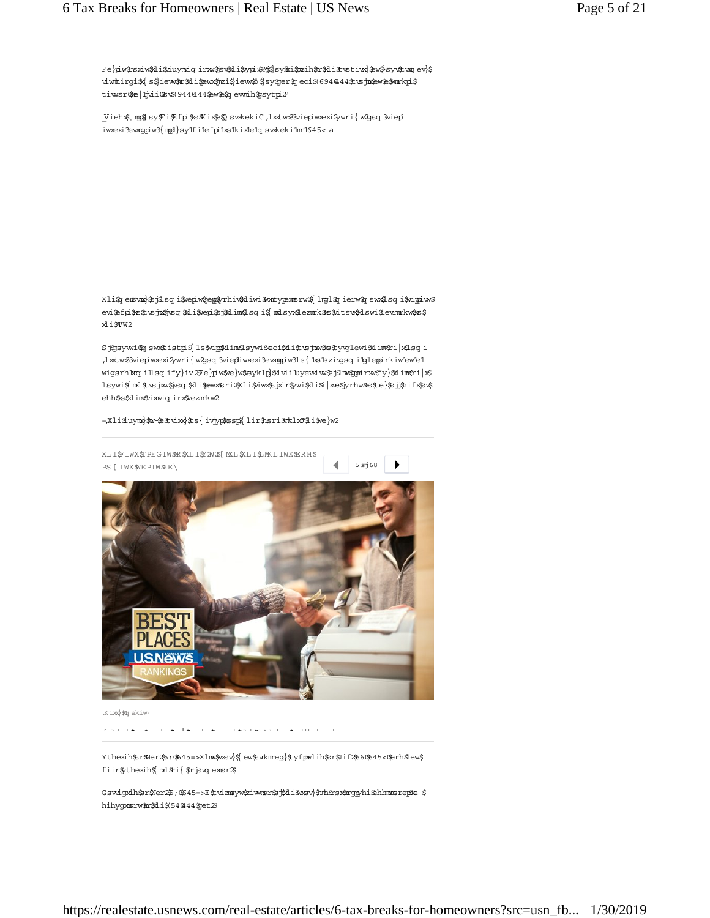Fe}piw\$sxiw\$li\$duymdq irxw\$jsv\$li\$ypi\$Mj\$sy\$d\$prih\$r\$li\$tvstiw}\$ew\$}syv\$tvoq ev}\$ viw mlirgišk s\$ iew \$c\$di\$ew stri\$ iew \$35 y\$ er\$1 eoi\$ 694044\$ us jn sew \$\$ mrkpi\$ tiwsr@e|hid\$t%(944044\$ew\$\$1ewmih\$psytpi2°

[Vieh\$] [w] sy\$Pi\$Efpi\$s\$Kix&\$D swkekiC ,lxxtw&3viepiwexi2ywri{ w2gsq 3viep1 iwexi3ewngpiw3{mp1}sy1fi1efpi1xs1kix1e1qswkeki1mr1645<-a

Xli\$q enswa}\$sj\$lsq i\$vepiw\$jep\$yrhiv\$diwi\$vontypexnsrw0\${lmgl\$q ierw\$q sw Alsq i\$vippiw\$ evi\$fpi\$s\$tsjn\$jsq \$li\$vepi\$j\$lim\$lsq i\${mdsyx\$lezmk\$s\$itsv\$dswi\$evmrkw\$s\$ xli\$WW2

Sj\$psywi\$q sw Atistpi\${ls\$vip\$dim\$lsywi\$eoi\$di\$tw jnw\$s\$<u>tyvglewi\$dim\$t|x\$sq i</u> httws3viepiwexi2wri{w2qsq 3viephiwexi3ewagdw3ls{hs1szivqsq ibqlegirkiw bew 1 wigsrh1mog\_i1lsq\_ify}iv\_2Fe}piw\$we}w\$syklp}\$dvii1uyevxiw\$sj\$lnw\$ppnirxw\$fy}\$dim\$ri|x\$ hoywi\$ mel\$tusjman \$hi\$ew\$ri2Xli\$iw\$sjxir\$wi\$di\$ |xe\$yrhw\$s\$te}\$tj\$hifx\$t\$ ehh\$s\$dim\$dxmiqirx\$vezmrkw2

#### -,Xli\$uymx}\$w-\$e\$tvixx}\$ts{ivjyp\$ssp\${lir\$nsri\$mklx0\$li\$we}w2



Kixx}\$q ekiw

W he e de la estado de la estado de la estado de estado de estado de estado de estado de estado de estado de e

Ythexih\$r\$ler25:0645=>Xlmo\$wsv}\${ew\$wkmrep}\$yfpmlih\$r\$Jif266\$45<@erh\$lew\$ fiir\$ythexih\${msl\$ri{\$mrjsvqexmsr2\$

Gswickih \$r\$ler25; 0645=>E\$tviznsyw\$iwmsr\$sj\$di\$wsv}\$nml\$rsx\$mopyhi\$chhmxnsrep\$e|\$ hihygxsrw\$r\$di\$(54@44\$pet2\$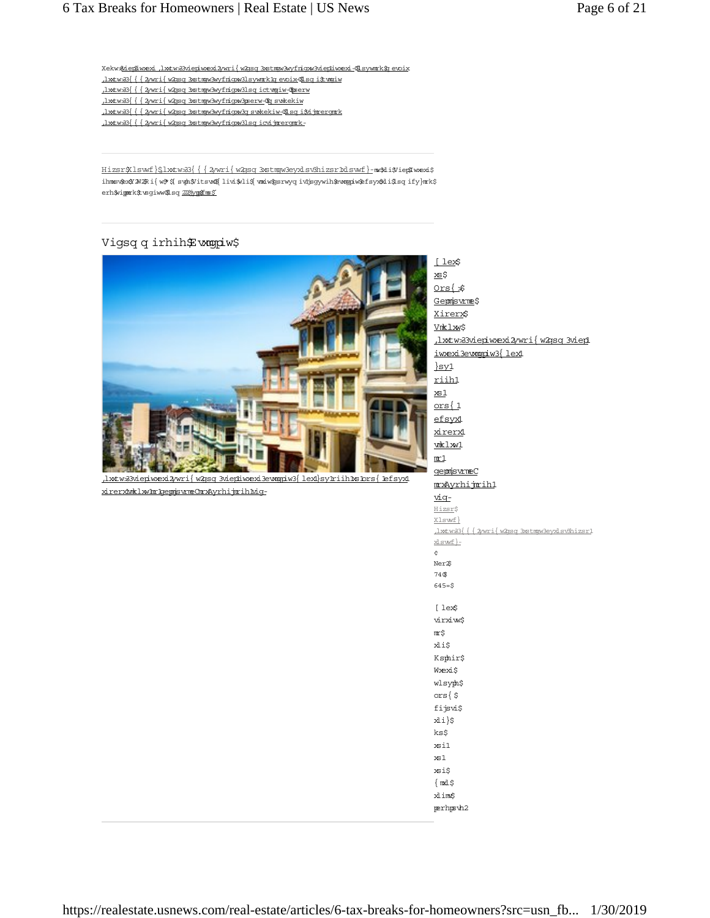Xekw <u>\$1epiwexi, lwtw 33 viepiwexi2 wri{w2gsq 3 stmpw 3 wyfrigw 3 viepiwexi-Oisy work i evoix</u>

- httw 33{{{2wri{w 2qsq 3xstmpw 3w y frigw 3lsy w mrk 1q evoix-@1 sq i \$t wqiw
- httw33{{{2wri{w2qsq3xstmmw3wyfrigw3lsqictwmiw-@hserw
- .lxtw 33{{{2wri{w 2gsq 3x tngw 3w frigw 3gserw \$p swkekiw
- .lxtw 33{{{2wri{w 2gsq 3xstmgw 3w y frigw 3q swkekiw -@1 sq i \$djm ergm k

httw 33{{{2ywri{w 2qsq 3xstmqw 3w y frigw 3lsq icvitrergnok-

Hizsr\$Nlswf}\$1xtw 33{{{2ywri{w 2qsq 3xstmqw 3eyxlsv3hizsr1xlswf}-mw \$4i\$ViepIwexi\$ ihmsvæ $\mathcal X$ M<br/><br> New  $\mathcal S$  sub $\mathcal Y$  its value shows a represent at the sequence<br/>  $\mathcal S$  and  $\mathcal S$ erh\$vipprk\$tvsgiww\$lsq225jypofns5

# Vigsq q irhih £wmgpiw\$



 $\lambda$ xtw 33 vieniw exi2 w ri $\{$  w 2 radio 3 vientiw existency  $\{$  hand-sv hat-you-need-to-know -aboutxirenxtwoklxwulton: bengonis wome Charx Ayrhijnrih twig-

[ lex\$ xs\$  $Ors$ { $\$$ Gepmisvme\$ Xirerx\$ Vnklxw\$ , lxtw 33 vieniw exi2 w rif w 2qsq 3 vien iwexi3ewnqpiw3{lex1  $syl$ riih1  $x<sub>s1</sub>$  $ors(1$ efsyx1 xirend wklxw1  $m_1$ generisvmeC mxAyrhijmih1 <u>vig-</u> Hizsr\$ Xlswf}  $\frac{1}{\text{Mw33}} \left\{ \frac{2}{\text{Wri}} \left\{ \frac{2}{\text{W239}} \frac{3}{\text{Symy3eyd} \cdot \text{N} \cdot \text{N} \cdot \text{N} \cdot \text{N} \right\} \right\}$  $xlswf$  - $\ddot{\varsigma}$ Ner<sup>2</sup>\$ 74\$  $645 = $$ [ lex\$ virxiw\$  $\mathtt{m} \mathop{\uparrow}$ xli\$ Ksphir\$ Wæxi\$ wlsyph\$ ors $\frac{1}{2}$ fijsvi\$  $xli$ ks\$  $x$ sil  $x<sub>s1</sub>$ xsi\$  $\{$  mxl $\,$ \$ xlim\$ perhps vh2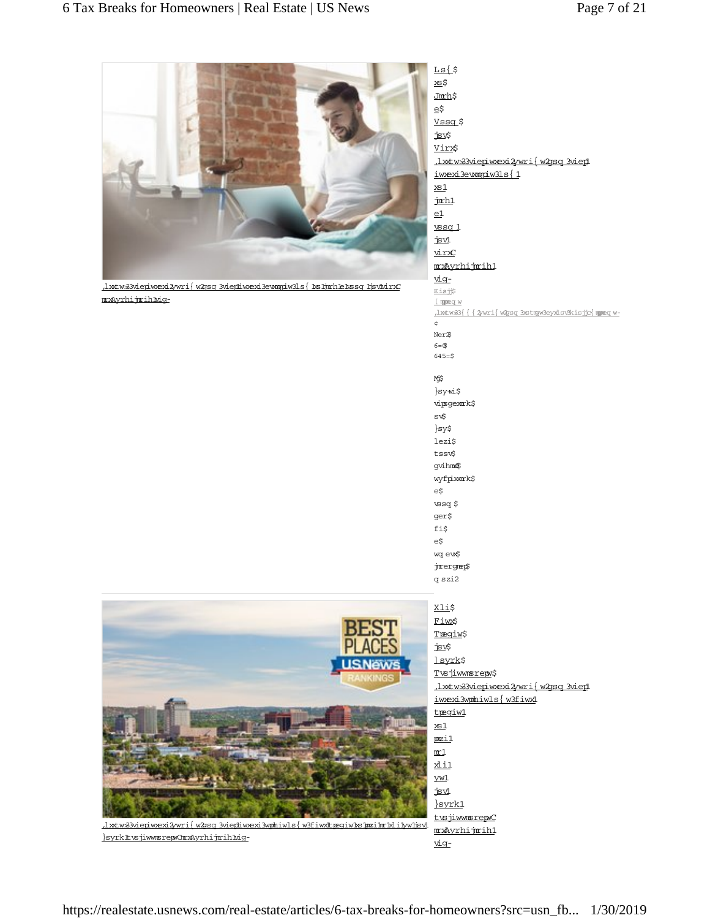

 $\underline{\hbox{}.hxxw3Mepiwexi2wri} \{ \hbox{``Zsg 3viepiwexi3ewegiw3ls} \{ \hbox{``Bijm1ekssq 1jsv1wrC}\}$ mxAyrhijmihMig-

 $Ls($ \$ to x Jmrh\$ e\$ Vssq\$ jsv\$ Virx\$ ,1xxtw 33viepiw exi2ywri{w 2qsq 3viep1 iwexi3evanpiw3ls{1  $x<sub>s1</sub>$ jm<sub>m</sub>  $e1$ wssq 1  $ix1$ virxC mxAyrhijmih1 vig-Kisjj\$ I momency w .lxtw 33{ { { 2w ri{ w 2gsq 3xstmpw 3eyxlsv3kisjc{ mmeq w- $\phi$ Ner<sup>26</sup>  $6 = 0$  $645 = $$ Mj\$ }sy#i\$ vipsgexmrk\$ sv\$  $sys$ lezi\$ tss gvihm4\$ wyfpixmek\$ e\$  $\sqrt{2}$ ger\$ fi\$  $\mathsf{e}\mathsf{\dot{s}}$ wq ew\$ jmergnep\$ q szi2 Xli\$ Fiw\$ Tregiw\$ jsv\$ <u>] syrk</u>\$ T<u>wsjiwwmsrepw</u>\$ .lxtw33viepiwexi2wri{w2gsq3viep1 iwexi3wphiwls{w3fiwx1 tregiw1  $x<sub>s1</sub>$ pxil  $\underline{\mathfrak{m}}\mathfrak{1}$ <u>xlil</u>  $\underline{vw1}$  $is$  $\nu$  $\frac{1}{2}$ syrk1 tusjiwwmsrepwC mxAyrhijmih1 vig-



 $\frac{1}{2}$ xtw 33 vieniw exi2 y wri $\frac{1}{2}$ w 2 gsq 3 vientiw sexisyon iw 1 s  $\frac{1}{2}$ w 3 fiw XII pegiw 1 s for in-the-in-valisyon }syrkltusjiwmsrepwOmrxAyrhijmihlviq-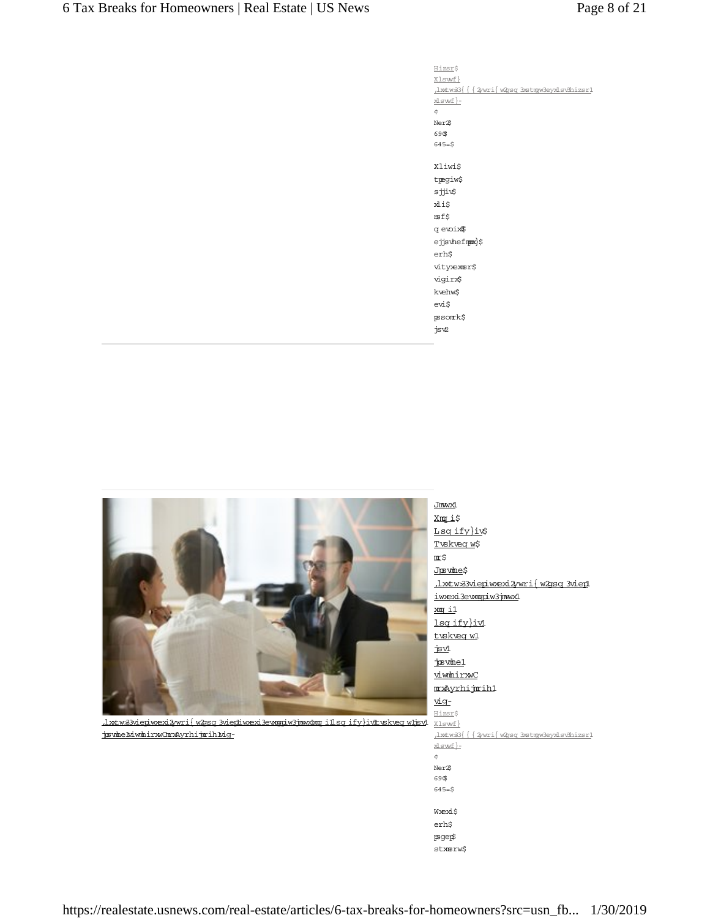Hizsr\$ Xlswf}  $\frac{1}{\sqrt{8}}\left\{\frac{1}{2}\right\}$ xlswf}- $\epsilon$ Ner<sup>2</sup>\$ 69\$  $645=$ \$ Xliwi\$ tpegiw\$ sjji $\circ$ xli\$  $\texttt{nsf}\$ g evoix\$ ejjsvhefmpx}\$  $\text{erh}\$$ vityensr\$ vigirx\$ kvehw\$ evi\$  $\mathfrak p$ som k $\uparrow$ jsv2

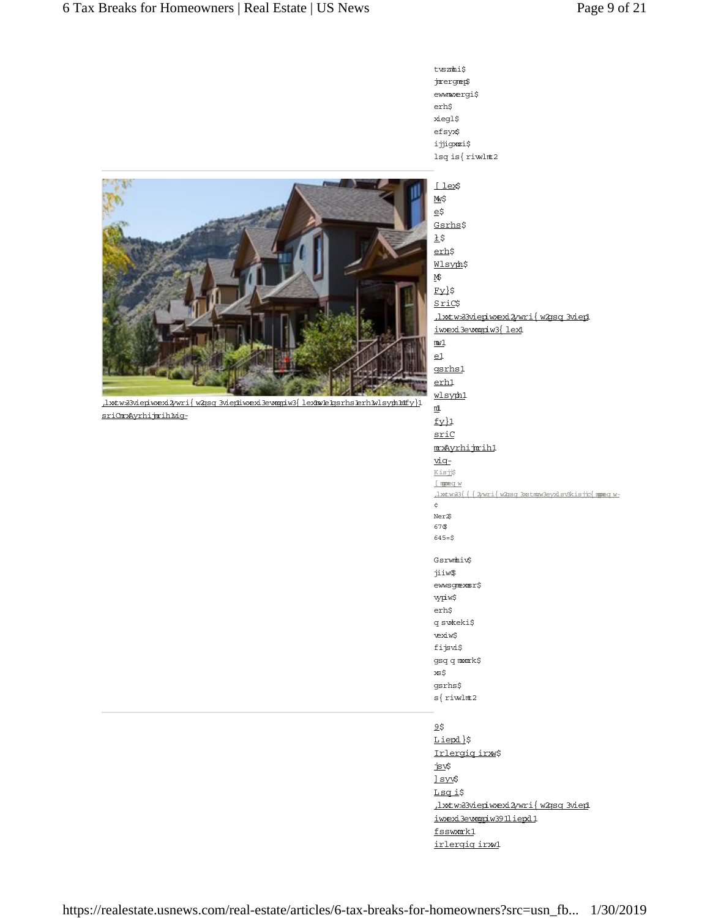twszmhi\$ jmergnep\$ ewww.ergi\$  $\mbox{erh}\$$ xiegl\$ efsyx\$ ijjigxmzi\$ lsq is $\{$ riwlmt2



httw 33 million mexi 3 million / w 2009 3 million / and - com and-destate large in the interval of the interval sriOmxAyrhijmihMig-

[ lex\$  $M\$  $e\ddot{\varsigma}$ Gsrhs\$  $\underline{1}\,\xi$ erh\$ Wlsyph\$ M<sub>5</sub>  $Fv$ }\$ SriC\$ httws3viepiwexi2/wri{w2gsq3viepi iwexi3ewngpiw3{lex1  $m1$  $e1$ gsrhs1 erh1 wlsyph1  $\mathfrak{m}$  $f_y$ sriC mxAyrhijmih1 <u>vig-</u> Kisj\$ I manned w .1xtw 33{ { { 2w ri{ w 2gsq 3xstngw 3ey xlsv3kisjc{ ngneq w- $\ddot{\mathbf{c}}$ Ner<sup>2</sup>S 67\$  $645=$ \$ Gsrwmhiv\$ jiiw\$ ewwsgmexmsr\$ vypiw\$ erh\$ q swkeki\$ vexiw\$ fijsvi\$ gsq q manrk\$ xs\$ gsrhs\$  $s$ { riwlmt2 9\$ Liepl}\$ Irlergiq irxx\$

jsv\$ ] syv\$ Lsqi\$ lxtw 33 viepiw exi 3wri { w 2gsq 3 vied iwexi3ewngpiw391liepd1 fsswmmk1 irlergig irxv1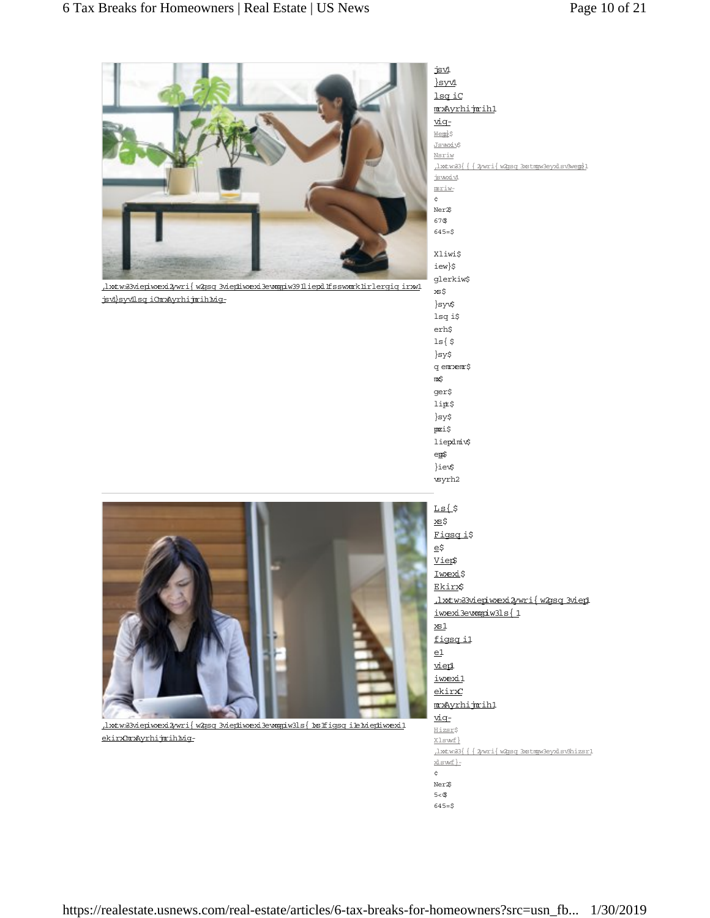

httw 33 vieniw exi 3 wri { w 23sq 3 vieniw exi3e wog dw 3911 iepd 1fs swark 1 ir lergiq ir w 1. jsvi}syvilsq iOm Ayrhijmih Mig-

 $is$  $\nu$  $svd$ <u>lsq iC</u> mxAyrhijmih1 <u>vig-</u> <u>Wem</u>}\$ Jsw*x*iv\$ Nsriw , lxtw 33{{{2wri{w 2qsq 3xstmqw 3eyxlsv3wem}1 jswxivl jones)  $\zeta$ Ner<sup>26</sup>  $67$ \$  $645 = $$ Xliwi\$ iew}\$ glerkiw\$ xs\$ }sy lsq i\$  $\mathrm{erh}\mathbf{\hat{s}}$  $ls$   $\frac{1}{5}$  $\rbrace$ sy\$

q em xem \$ it ger\$ lipt\$  $\{sy\}$  $\mathtt{p}$ i $\!$ liepdnick epp\$ }iev\$ wyrh2



httws3viepiwexi2/wri{w2qsq3viepiwexi3ewmgiw3ls{hs1fiqsqi1e1viepiwexi1 ekirxOmxAyrhijmihkig $Ls$ (\$ to x Figsq i\$  $e\overline{z}$ Vier\$ Iwexi\$ Ekirx\$ .1xtw33viepiwexi2ywri{w2gsq3viep1 iw exi3e wagpiw 31s {1  $x<sub>s1</sub>$ figsg il  $e1$ realiwexi1  $ekirx$ mxAyrhijmih1 <u>vig-</u> Hizsr\$ Xlswf}  $\frac{1}{\text{Mws3}} \left\{ \frac{1}{\text{Wws3}} \right\} \left\{ \frac{1}{\text{Wws4}} \right\}$ xlswf}- $\dot{\mathbf{c}}$ Ner<sup>2</sup>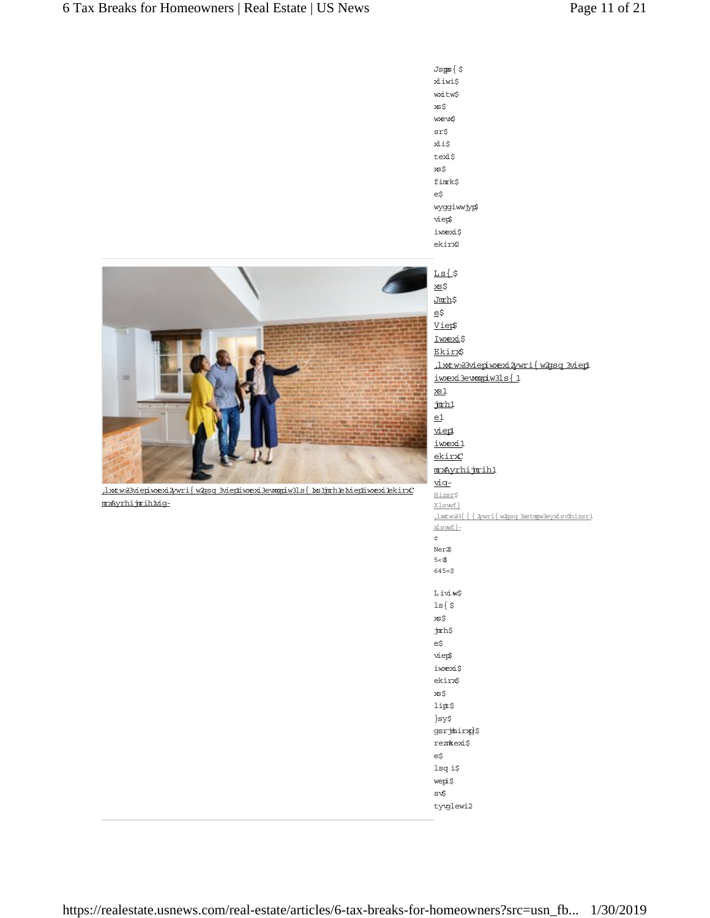

.lxtw33viepiwexi2ywri{w2gsq3viep1 iwexi3ewngiw3ls{1 .lxtw 33{{{2wri{w2psq3xstmpw3eyxlsv8hizsr1 Ner<sup>2</sup>  $5 <$ \$  $645 = $$ Livi+w\$  $ls$   $\frac{1}{5}$  $x\in\zeta$ jm:h\$  $e\zeta$ vier\$ iwexi\$ ekirx\$  $\tt x\tt S\$  $\mathtt{lift}$ \$  $\rbrace$ sy\$ gsrjmling}\$ reznkexi\$ e\$ lsq i\$ wepi\$ sv\$ tyvglewi2

 $Jsps\{5$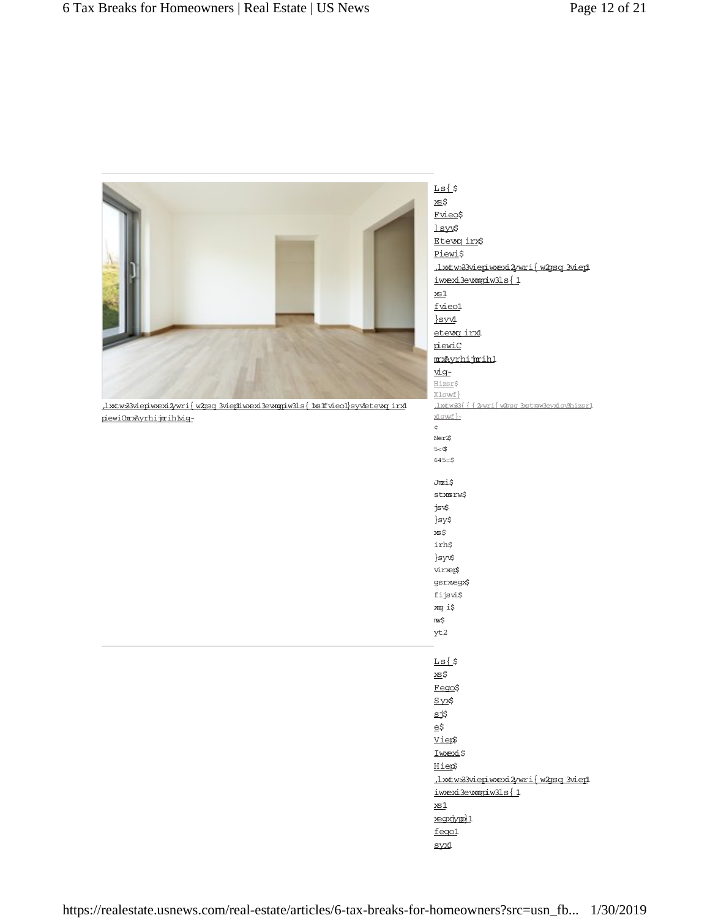|                                                                            | $Ls$ {\$                                  |
|----------------------------------------------------------------------------|-------------------------------------------|
|                                                                            | xs\$                                      |
|                                                                            | Fvieo\$                                   |
|                                                                            | 1 syv\$                                   |
|                                                                            | Etewg irx\$                               |
|                                                                            | Piewi\$                                   |
|                                                                            | <u>Jxtw33viepiwexi2ywri{w2gsq3viep1</u>   |
|                                                                            | iwæxi3ewnopiw3ls{1                        |
|                                                                            | $x\!\!\leq\!\!1$                          |
|                                                                            | fvieo1                                    |
|                                                                            | <u>}syvi</u>                              |
|                                                                            | etewg irxl                                |
|                                                                            | piewiC                                    |
|                                                                            | mxAyrhijmih1                              |
|                                                                            | viq-                                      |
|                                                                            | Hizsr\$                                   |
|                                                                            | Xlswf}                                    |
| <u>Jxtw33viepiwexi2wri{w2sq3viepiwexi3ewogpiw31s{1sfvieo1}syvetewqirx1</u> | .1xtw33{{{2wri{w2psq3xstmqw3eyx1sv3hizsr1 |
| piewiOmrxAyrhijmihMiq-                                                     | xlswf}-                                   |
|                                                                            | ¢                                         |
|                                                                            | Ner <sup>26</sup><br>5 < 15               |
|                                                                            | $645 = $$                                 |
|                                                                            |                                           |
|                                                                            | Jmzi\$                                    |
|                                                                            | stxmsrw\$                                 |
|                                                                            | jsv\$                                     |
|                                                                            | }sy\$                                     |
|                                                                            | xs\$                                      |
|                                                                            | irh\$                                     |
|                                                                            | }syv\$                                    |
|                                                                            | viræp\$                                   |
|                                                                            | gsrxegx\$                                 |
|                                                                            | fijsvi\$                                  |
|                                                                            | xm i\$                                    |
|                                                                            | mw\$                                      |
|                                                                            | yt2                                       |
|                                                                            |                                           |
|                                                                            | $Ls$ { $\circ$                            |
|                                                                            | xs\$                                      |
|                                                                            | Fego\$                                    |
|                                                                            | SyzS                                      |
|                                                                            | sj\$                                      |
|                                                                            | $\mathsf{e}\mathsf{s}$                    |
|                                                                            | Viep\$                                    |
|                                                                            | Iwexi\$                                   |
|                                                                            | Hiep\$                                    |
|                                                                            | <u>Jxtw33viepiwexi2ywri{w2gsq3viep1</u>   |
|                                                                            | iwexi3ewngpiw31s{1                        |
|                                                                            | xs1                                       |
|                                                                            | xegxjypo}1                                |
|                                                                            |                                           |
|                                                                            | fego1                                     |
|                                                                            | syx1                                      |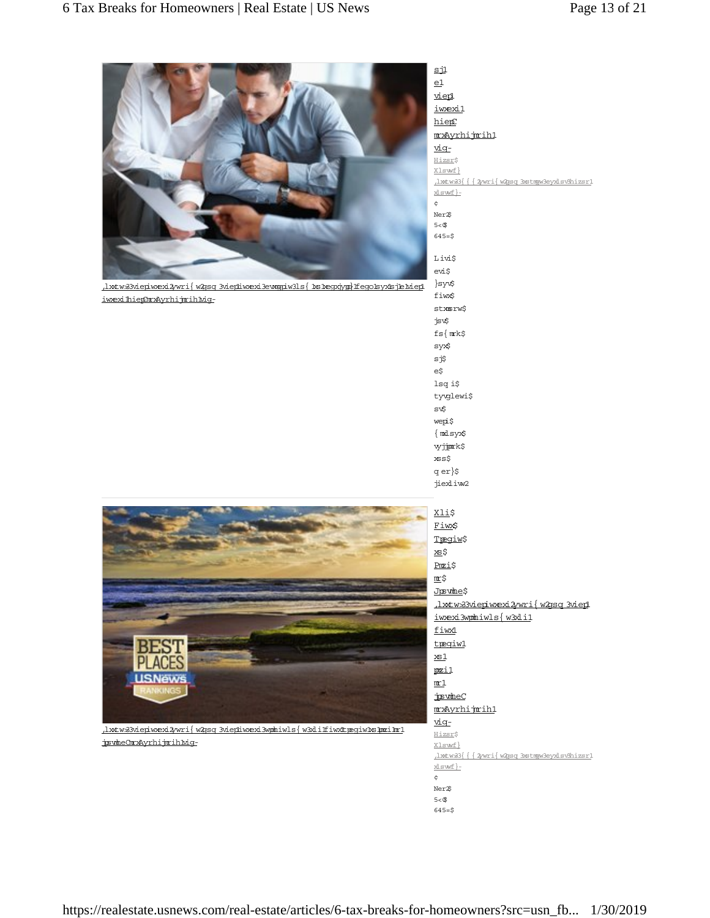

httws3viepiwexi2wri{w2gsq 3viephwexi3ewagiw31s{hs1egxjygg)ffego1syx1sjE1viep1 iwexihiephrxAyrhijmih.big-

vien iwexi1 hiep mxAyrhijmih1 vig-Hizsr\$ Xlswf}  $\frac{1}{\texttt{wtw33}}\{\text{ {2wri} \{ w2\text{sg} 3\text{stry3\text{ev}xl}\text{sv3\text{h}izsr1}\}}$ <u>xlswf}</u>- $\dot{\mathbf{c}}$ Ner<sup>26</sup>  $5 < $$  $645 = $$ Livis evi\$ }syv\$ fiwx\$ stxmsrw\$ jsv\$  $fs$ { m $rk$ \$ syx\$ s j\$  $e\zeta$ lsq i\$ tyvglewi\$ sv\$ wepi\$  $\{$  mxlsyx\$ vyjjork\$  $xss$ \$ q er}\$ jiexliw2 Xli\$ Fiw\$ Tpegiw\$ xs\$ Pmzi\$ m:\$ Justme\$

 $\mathbf{s}$ jl  $e1$ 



(https://realestate.usnew s.com /real-estate/slideshow s/the-best-places-to-live-injswheChrxAyrhijmihMig-

httws3viepiwexi2/wri{w2gsq3viepi iw xexi3wphiwls{w3xli1 fiwx1 tpegiw1  $\underline{\mathtt{x}}\underline{\mathtt{s}}\underline{\mathtt{1}}$ pozi1  $m_1$ jøsvmheC mxAyrhijmih1 vig-Hizsr\$ Xlswf} (1xtw 33 | { 2w ri | w 2q sq 3x stmpw 3ey x 1s x 8hizs r1 xlswf}- $\dot{\mathbf{c}}$ 

Ner<sup>25</sup>  $5<\circledast$ 

 $645 = $$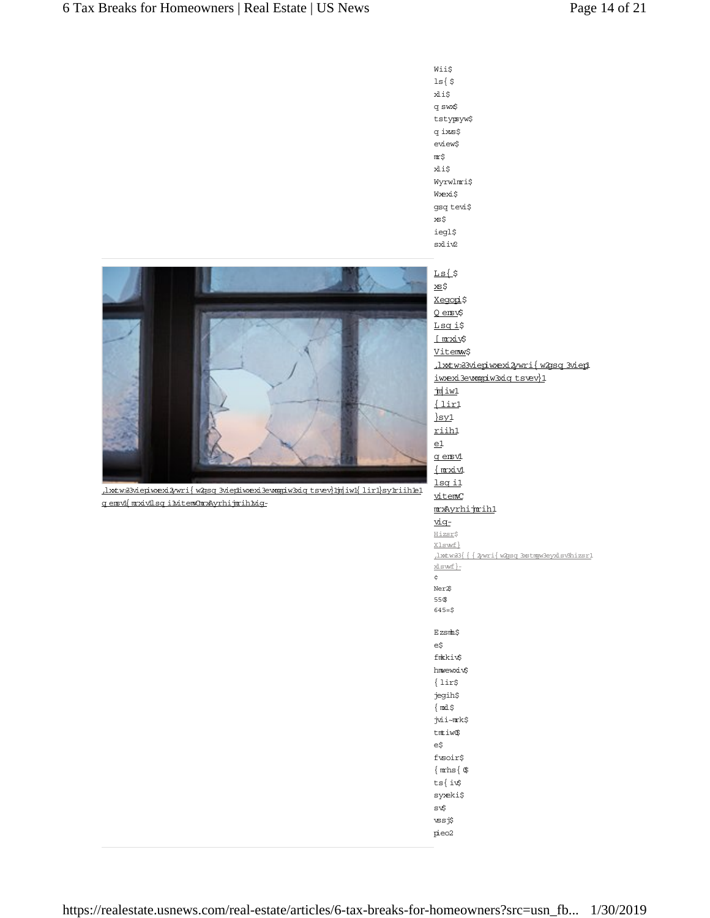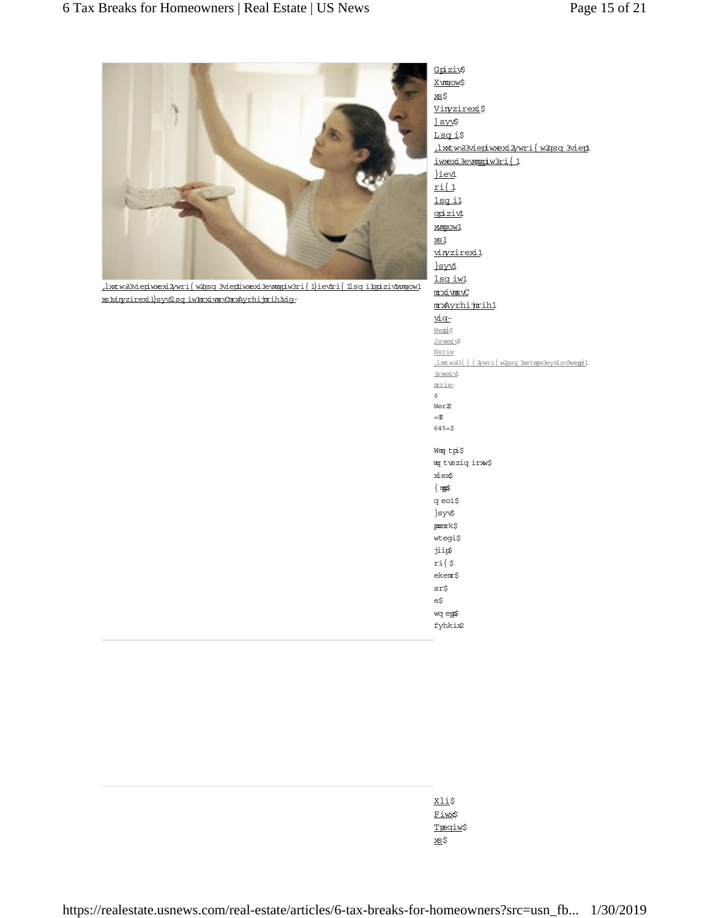

 $\frac{h\texttt{w}33\texttt{view33}e\texttt{p}\texttt{wexi3}w\texttt{r}\texttt{i}\{w\texttt{ysei}\}e\texttt{wsgi}\texttt{w3}\texttt{r}\{w\texttt{ysei}\}e\texttt{w0}\texttt{r}\{w\texttt{ysei}\}e\texttt{w0}\texttt{r}\}e\texttt{w1}\{w\texttt{ysei}\}e\texttt{w1}\{w\texttt{ysei}\}e\texttt{w1}\{w\texttt{ysei}\}e\texttt{w2}\}e\texttt{w3}\texttt{r}\{w\texttt{ysei}\}e\texttt{$ to-word-reveloped-word-word-word-word-word-

X vm pow \$  $x\in\mathcal{S}$ Vinyzirexi\$ <u>l syv</u>\$ Lsqi\$ (https://realestate.usnew s.com /realiwexi3ewnqpiw3ri{1 }ievi  $ri(1$ lsq il goizivi xxmgow1  $\underline{\mathtt{x}}\underline{\mathtt{s}}\underline{\mathtt{1}}$ viryzirexi1  $\frac{\text{syvl}}{\text{syvl}}$ lsq iw1 mximsvC mxAyrhijmih1 rec) Wemb<sub>S</sub> Jsw*x*iv\$ Nsriw  $\frac{1}{2}$ w w  $\{\frac{1}{2}$ w ri $\frac{w}{3}$ g 3stmgw 3eyx lsweng 1 jswxivl jones)  $\ddot{\varsigma}$  $Ner2$  $= 9$  $645 = $$ Wmg tpi\$ m twsiq in w\$ xlex\$  $\{$  mps i q eoi $\uparrow$ }sy¢  $\texttt{pzm}$ k\$ wtegi\$ jiip\$  $ri$ { $\$ 

**Xli\$** Fiw\$ T<u>regiw</u>\$ xs\$

ekem:\$  $sr\$ e\$ wq ep\$ fyhkix2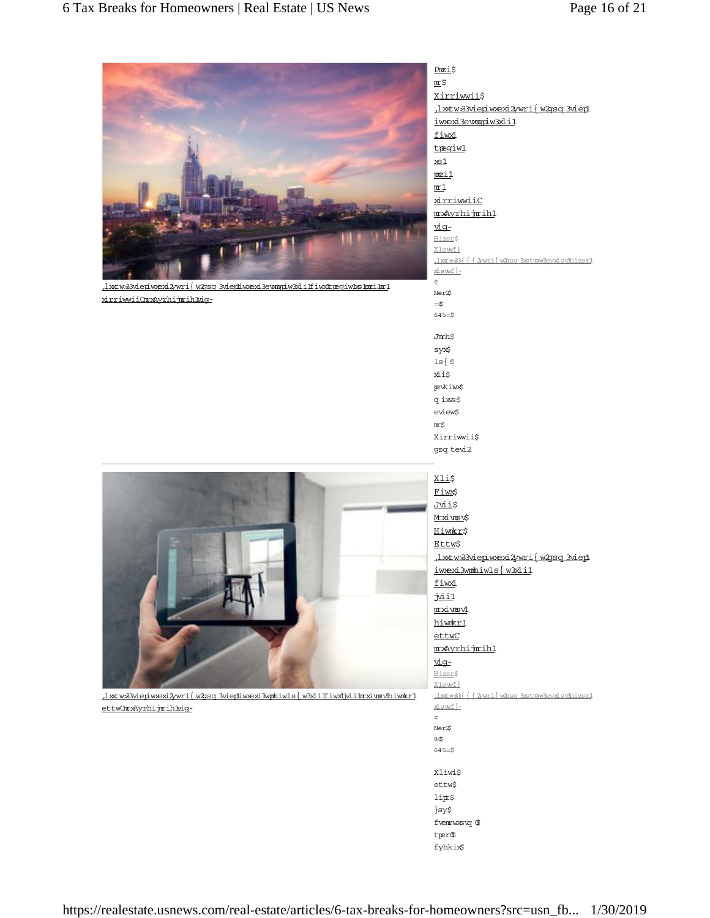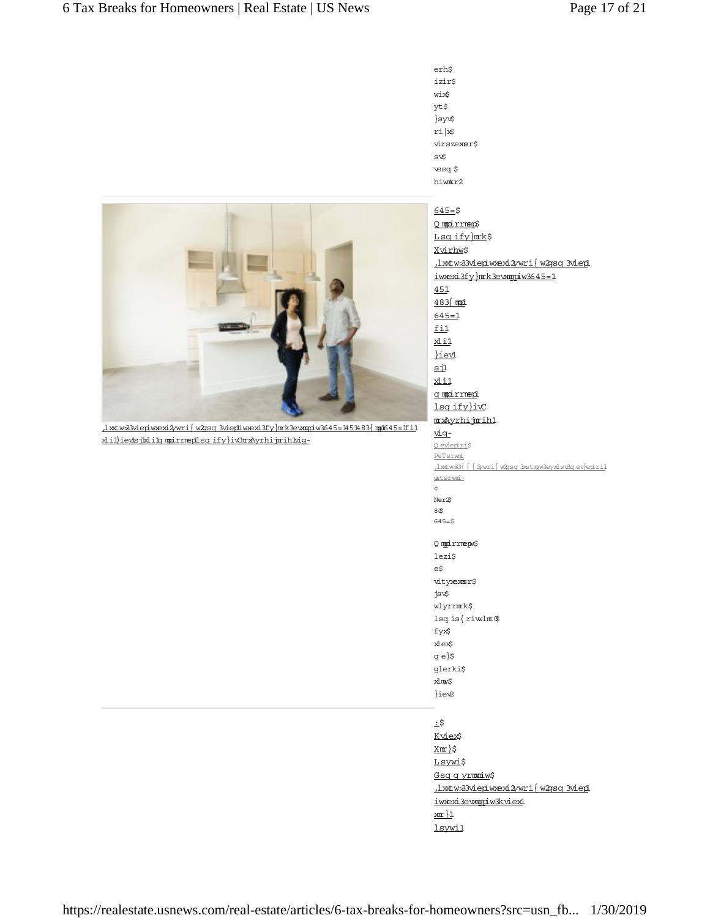

 $\frac{1}{2}$ xlil) ievs jkling moirrmentsq ify } ivCm x Ayrhijm ih Mig}syv\$  $ri \times$ virszexmsr\$ sv\$  $\csc$ hiwmkr2

 $645 = $$ O modirrment Lsqify}mrk\$ Xvirhw\$ ,1xtw33viepiwexi2ywri{w2gsq3viep1 iwexi3fy}mrk3ewngpiw3645=1  $451$  $483$  mm $1$  $645 = 1$ fil  $x$ <sub>11</sub> }iev1  $\overline{\text{si}}$ xli1 g modirrmeni  $lsq$ ify}i $x$ mxAyrhijmih1 r<u>ig</u> O ev}epiri\$ PeTsrwmi  $\frac{1}{\text{www33} } \left\{ \text{ {2wri} \, \text{w2asq 3xstmw3eyxl sv9g ev} \right\}$ petsrwni- $\phi$ Ner<sup>2</sup>\$ 4,  $645=$ \$ Q mpirrnepv\$ lezi\$ e\$ vityensr\$ jsv\$ wlyrrmnk\$ lsq is $\{$ riwlmt $$$ fyx\$ xlex\$ q e}\$ glerki\$ this }iew2  $:5$ Kviex\$  $X$ m $S$ Lsywi\$ Gsqqyrmmiw\$

https://web.uspe.uspe.us/ iwexi3evmqqiw3kviex1  $x^2$ 

lsywi1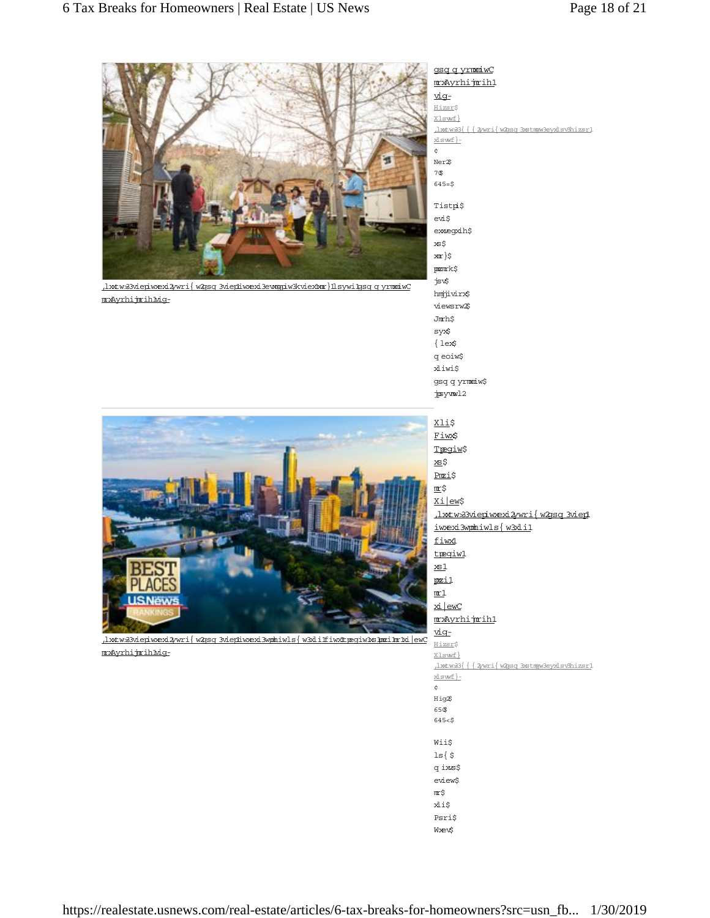

<u>, lxtw33viepiwexi2wri{w2gsq 3viepiwexi3ewogpiw3kviextxor} 11 sywi1gsq q yromiwC</u> mxAyrhijmihMg-



ls{ $\$$ q ixs\$ eview\$  $m\ddot{s}$ xli\$ Psri\$ **W**ew\$

gsg g yrmniw C mxAyrhijmih1

(1xtw 33 | { 2w ri | w 2q sq 3x stmpw 3ey x 1 sv3hizs r1

<u>viq-</u> Hizsr\$ Xlswf}

xlswf}- $\epsilon$ 



httws3viepiwexi2ywri{w2psq3viepiwexi3wphiwls{w3xliffiwx1tpeqiw1xs1pmzi1mr1xiew mxAyrhijmihMiq-

https://realestate.usnews.com/real-estate/articles/6-tax-breaks-for-homeowners?src=usn\_fb... 1/30/2019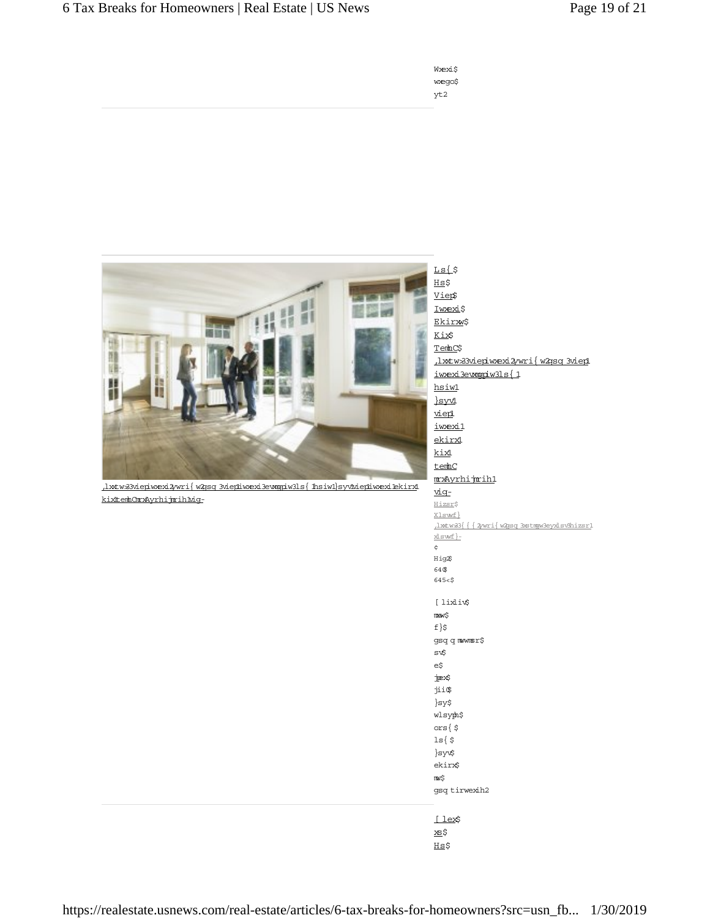# 6 Tax Breaks for Homeowners | Real Estate | US News Page 19 of 21

| Wæxi\$ |
|--------|
| weqo\$ |
| yt2    |

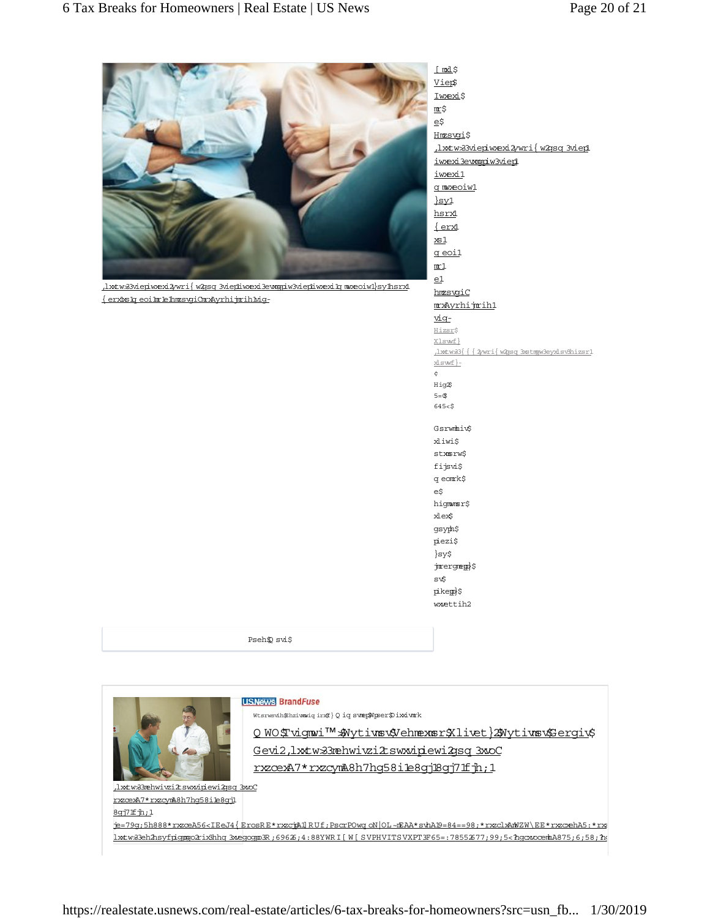

httws3viepiw exi2wri{w 2gsq 3viepliw exi3ewagpiw 3viepliw exilq m weoiwl}sylhsrxl  $\{erx$ ks hore eo i har har a-divorce in the property of the unit of the unit of the unit of the unit of the unit of the unit of the unit of the unit of the unit of the unit of the unit of the unit of the unit of the unit

Vier\$ Iwexi\$  $\mathbb{I}^{\sharp}$ e\$ Hmzsvgi\$ <u>, lxtw33 vieniw exi2 wri{ w2gsq 3 vien</u> iwexi3ewmqpiw3viep1 iwexi1 g mwzeoiw<sup>1</sup>  $syl$ hsrx  $\{erx\}$  $\underline{\mathtt{x}\mathtt{s}\mathtt{l}}$ g eoi1  $m_1$  $e1$ hmzsvqiC mxAyrhijmih1 <u>viq-</u> Hizsr\$ Xlswf} (1xtw 33 | 1 2 w ri | w 2 g sq 3x stm w 3ey x 1 s w hizsr xlswf}- $\epsilon$ Hig<sup>2</sup>  $5 = $$  $645 < S$ Gsrwmhiv\$ xliwi\$ stxmsrw\$ fijsvi\$ q eomrk $\uparrow$  $eS$ higmmsr\$ xlex $\hspace{-.08in}\raisebox{1.5pt}{\text{*}}\!$ gsyph\$ piezi\$  $\rbrace$ sy\$

[mxl\$

jmergmene)\$ sv\$ pikep)\$ wwettih2

Pseh $\n *psi*$